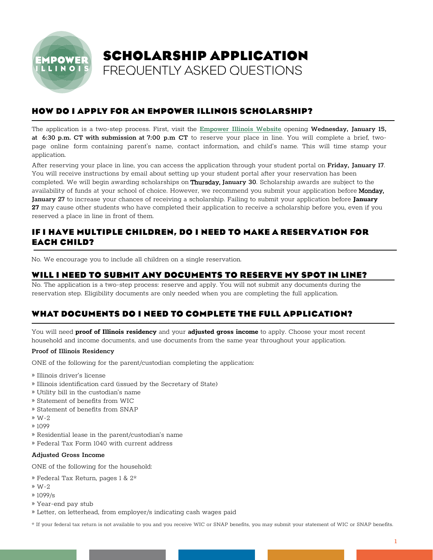

### **HOW DO I APPLY FOR AN EMPOWER ILLINOIS SCHOLARSHIP?**

The application is a two-step process. First, visit the [Empower Illinois Website](www.empowerillinois.org) opening Wednesday, January 15, at 6:30 p.m. CT with submission at 7:00 p.m CT to reserve your place in line. You will complete a brief, twopage online form containing parent's name, contact information, and child's name. This will time stamp your application.

After reserving your place in line, you can access the application through your student portal on Friday, January 17. You will receive instructions by email about setting up your student portal after your reservation has been completed. We will begin awarding scholarships on Thursday, January 30. Scholarship awards are subject to the availability of funds at your school of choice. However, we recommend you submit your application before Monday, January ȍ7 to increase your chances of receiving a scholarship. Failing to submit your application before **January 27** may cause other students who have completed their application to receive a scholarship before you, even if you reserved a place in line in front of them.

# **IF I HAVE MULTIPLE CHILDREN, DO I NEED TO MAKE A RESERVATION FOR EACH CHILD?**

No. We encourage you to include all children on a single reservation.

#### **WILL I NEED TO SUBMIT ANY DOCUMENTS TO RESERVE MY SPOT IN LINE?**

No. The application is a two-step process: reserve and apply. You will not submit any documents during the reservation step. Eligibility documents are only needed when you are completing the full application.

### **WHAT DOCUMENTS DO I NEED TO COMPLETE THE FULL APPLICATION?**

You will need **proof of Illinois residency** and your **adjusted gross income** to apply. Choose your most recent household and income documents, and use documents from the same year throughout your application.

#### Proof of Illinois Residency

ONE of the following for the parent/custodian completing the application:

- » Illinois driver's license
- » Illinois identiication card (issued by the Secretary of State)
- » Utility bill in the custodian's name
- » Statement of benefits from WIC
- » Statement of benefits from SNAP
- » W-2
- » 1099
- » Residential lease in the parent/custodian's name
- » Federal Tax Form 1040 with current address

#### Adjusted Gross Income

ONE of the following for the household:

- » Federal Tax Return, pages 1 & 2\*
- » W-2
- » 1099/s
- » Year-end pay stub
- » Letter, on letterhead, from employer/s indicating cash wages paid

\* If your federal tax return is not available to you and you receive WIC or SNAP beneits, you may submit your statement of WIC or SNAP beneits.